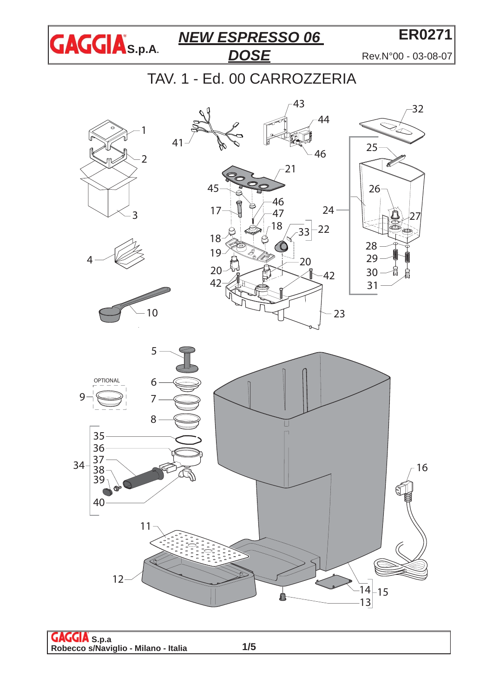

**ER0271**

Rev.N°00 - 03-08-07

TAV. 1 - Ed. 00 CARROZZERIA







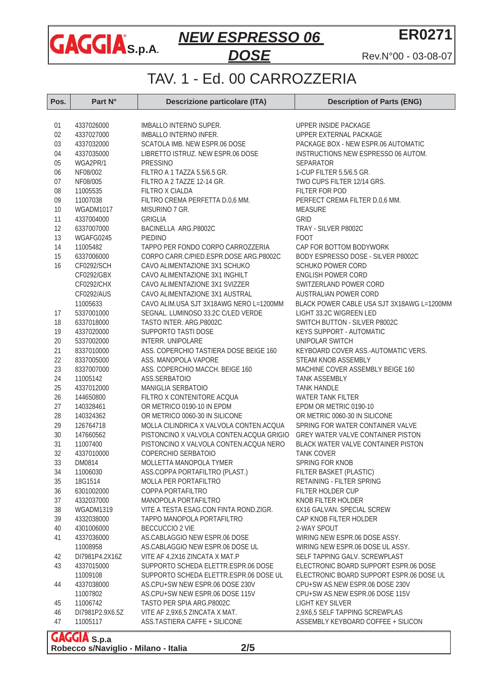

Rev.N°00 - 03-08-07

**ER0271**

# TAV. 1 - Ed. 00 CARROZZERIA

| Pos.     | Part N°                | <b>Descrizione particolare (ITA)</b>       | <b>Description of Parts (ENG)</b>          |
|----------|------------------------|--------------------------------------------|--------------------------------------------|
| 01       | 4337026000             | IMBALLO INTERNO SUPER.                     | UPPER INSIDE PACKAGE                       |
| 02       | 4337027000             | IMBALLO INTERNO INFER.                     | UPPER EXTERNAL PACKAGE                     |
| 03       | 4337032000             | SCATOLA IMB. NEW ESPR.06 DOSE              | PACKAGE BOX - NEW ESPR.06 AUTOMATIC        |
| 04       | 4337035000             | LIBRETTO ISTRUZ. NEW ESPR.06 DOSE          | INSTRUCTIONS NEW ESPRESSO 06 AUTOM.        |
| 05       | WGA2PR/1               | PRESSINO                                   | SEPARATOR                                  |
| 06       | NF08/002               | FILTRO A 1 TAZZA 5.5/6.5 GR.               | 1-CUP FILTER 5.5/6.5 GR.                   |
| 07       | NF08/005               | FILTRO A 2 TAZZE 12-14 GR.                 | TWO CUPS FILTER 12/14 GRS.                 |
| 08       | 11005535               | FILTRO X CIALDA                            | FILTER FOR POD                             |
| 09       | 11007038               | FILTRO CREMA PERFETTA D.0,6 MM.            | PERFECT CREMA FILTER D.0,6 MM.             |
| 10       | WGADM1017              | MISURINO 7 GR.                             | <b>MEASURE</b>                             |
| 11       | 4337004000             | <b>GRIGLIA</b>                             | GRID                                       |
| 12       | 6337007000             | BACINELLA ARG.P8002C                       | TRAY - SILVER P8002C                       |
| 13       | WGAFG0245              | <b>PIEDINO</b>                             | <b>FOOT</b>                                |
| 14       | 11005482               | TAPPO PER FONDO CORPO CARROZZERIA          | CAP FOR BOTTOM BODYWORK                    |
| 15       | 6337006000             | CORPO CARR.C/PIED.ESPR.DOSE ARG.P8002C     | BODY ESPRESSO DOSE - SILVER P8002C         |
| 16       | CF0292/SCH             | CAVO ALIMENTAZIONE 3X1 SCHUKO              | <b>SCHUKO POWER CORD</b>                   |
|          | CF0292/GBX             | CAVO ALIMENTAZIONE 3X1 INGHILT             | <b>ENGLISH POWER CORD</b>                  |
|          | CF0292/CHX             | CAVO ALIMENTAZIONE 3X1 SVIZZER             | SWITZERLAND POWER CORD                     |
|          | CF0292/AUS             | CAVO ALIMENTAZIONE 3X1 AUSTRAL             | AUSTRALIAN POWER CORD                      |
|          | 11005633               | CAVO ALIM.USA SJT 3X18AWG NERO L=1200MM    | BLACK POWER CABLE USA SJT 3X18AWG L=1200MM |
| 17       | 5337001000             | SEGNAL. LUMINOSO 33.2C C/LED VERDE         | LIGHT 33.2C W/GREEN LED                    |
| 18       | 6337018000             | TASTO INTER. ARG. P8002C                   | SWITCH BUTTON - SILVER P8002C              |
| 19       | 4337020000             | SUPPORTO TASTI DOSE                        | <b>KEYS SUPPORT - AUTOMATIC</b>            |
| $20\,$   | 5337002000             | INTERR. UNIPOLARE                          | UNIPOLAR SWITCH                            |
| 21       | 8337010000             | ASS. COPERCHIO TASTIERA DOSE BEIGE 160     | KEYBOARD COVER ASS.-AUTOMATIC VERS.        |
| 22       | 8337005000             | ASS. MANOPOLA VAPORE                       | STEAM KNOB ASSEMBLY                        |
| 23<br>24 | 8337007000             | ASS. COPERCHIO MACCH. BEIGE 160            | MACHINE COVER ASSEMBLY BEIGE 160           |
| 25       | 11005142<br>4337012000 | ASS.SERBATOIO<br><b>MANIGLIA SERBATOIO</b> | <b>TANK ASSEMBLY</b><br><b>TANK HANDLE</b> |
| 26       | 144650800              | FILTRO X CONTENITORE ACQUA                 | <b>WATER TANK FILTER</b>                   |
| 27       | 140328461              | OR METRICO 0190-10 IN EPDM                 | EPDM OR METRIC 0190-10                     |
| 28       | 140324362              | OR METRICO 0060-30 IN SILICONE             | OR METRIC 0060-30 IN SILICONE              |
| 29       | 126764718              | MOLLA CILINDRICA X VALVOLA CONTEN.ACQUA    | SPRING FOR WATER CONTAINER VALVE           |
| 30       | 147660562              | PISTONCINO X VALVOLA CONTEN.ACQUA GRIGIO   | GREY WATER VALVE CONTAINER PISTON          |
| 31       | 11007400               | PISTONCINO X VALVOLA CONTEN.ACQUA NERO     | BLACK WATER VALVE CONTAINER PISTON         |
| 32       | 4337010000             | COPERCHIO SERBATOIO                        | <b>TANK COVER</b>                          |
| 33       | DM0814                 | MOLLETTA MANOPOLA TYMER                    | SPRING FOR KNOB                            |
| 34       | 11006030               | ASS.COPPA PORTAFILTRO (PLAST.)             | FILTER BASKET (PLASTIC)                    |
| 35       | 18G1514                | MOLLA PER PORTAFILTRO                      | RETAINING - FILTER SPRING                  |
| 36       | 6301002000             | COPPA PORTAFILTRO                          | FILTER HOLDER CUP                          |
| 37       | 4332037000             | MANOPOLA PORTAFILTRO                       | KNOB FILTER HOLDER                         |
| 38       | WGADM1319              | VITE A TESTA ESAG.CON FINTA ROND.ZIGR.     | 6X16 GALVAN. SPECIAL SCREW                 |
| 39       | 4332038000             | TAPPO MANOPOLA PORTAFILTRO                 | CAP KNOB FILTER HOLDER                     |
| 40       | 4301006000             | BECCUCCIO 2 VIE                            | 2-WAY SPOUT                                |
| 41       | 4337036000             | AS.CABLAGGIO NEW ESPR.06 DOSE              | WIRING NEW ESPR.06 DOSE ASSY.              |
|          | 11008958               | AS.CABLAGGIO NEW ESPR.06 DOSE UL           | WIRING NEW ESPR.06 DOSE UL ASSY.           |
| 42       | DI7981P4.2X16Z         | VITE AF 4,2X16 ZINCATA X MAT.P             | SELF TAPPING GALV. SCREWPLAST              |
| 43       | 4337015000             | SUPPORTO SCHEDA ELETTR.ESPR.06 DOSE        | ELECTRONIC BOARD SUPPORT ESPR.06 DOSE      |
|          | 11009108               | SUPPORTO SCHEDA ELETTR.ESPR.06 DOSE UL     | ELECTRONIC BOARD SUPPORT ESPR.06 DOSE UL   |
| 44       | 4337038000             | AS.CPU+SW NEW ESPR.06 DOSE 230V            | CPU+SW AS.NEW ESPR.06 DOSE 230V            |
|          | 11007802               | AS.CPU+SW NEW ESPR.06 DOSE 115V            | CPU+SW AS.NEW ESPR.06 DOSE 115V            |
| 45       | 11006742               | TASTO PER SPIA ARG.P8002C                  | <b>LIGHT KEY SILVER</b>                    |
| 46       | DI7981P2.9X6.5Z        | VITE AF 2,9X6,5 ZINCATA X MAT.             | 2,9X6,5 SELF TAPPING SCREWPLAS             |
| 47       | 11005117               | ASS.TASTIERA CAFFE + SILICONE              | ASSEMBLY KEYBOARD COFFEE + SILICON         |

**S.p.a Robecco s/Naviglio - Milano - Italia**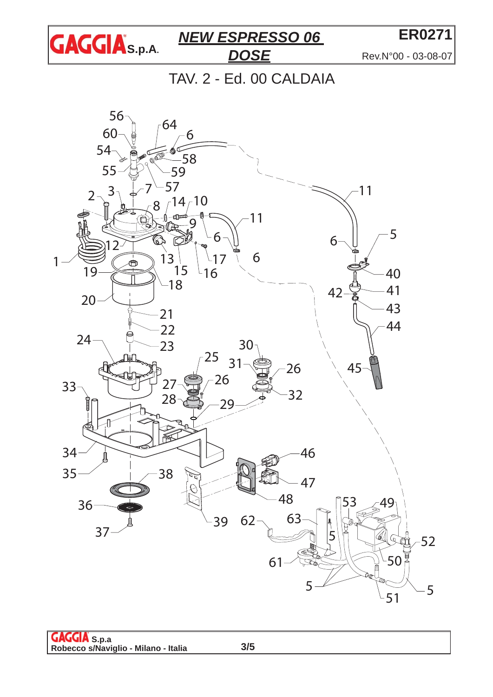

**ER0271** Rev.N°00 - 03-08-07

TAV. 2 - Ed. 00 CALDAIA



**S.p.a Robecco s/Naviglio - Milano - Italia**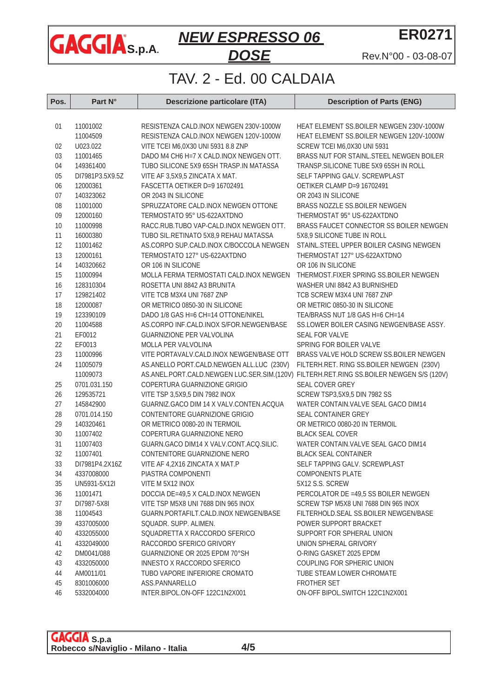

**ER0271**

Rev.N°00 - 03-08-07

## TAV. 2 - Ed. 00 CALDAIA

| Pos. | Part N°         | <b>Descrizione particolare (ITA)</b>                                                     | <b>Description of Parts (ENG)</b>         |
|------|-----------------|------------------------------------------------------------------------------------------|-------------------------------------------|
|      |                 |                                                                                          |                                           |
| 01   | 11001002        | RESISTENZA CALD.INOX NEWGEN 230V-1000W                                                   | HEAT ELEMENT SS.BOILER NEWGEN 230V-1000W  |
|      | 11004509        | RESISTENZA CALD.INOX NEWGEN 120V-1000W                                                   | HEAT ELEMENT SS.BOILER NEWGEN 120V-1000W  |
| 02   | U023.022        | VITE TCEI M6,0X30 UNI 5931 8.8 ZNP                                                       | SCREW TCEI M6,0X30 UNI 5931               |
| 03   | 11001465        | DADO M4 CH6 H=7 X CALD.INOX NEWGEN OTT.                                                  | BRASS NUT FOR STAINL.STEEL NEWGEN BOILER  |
| 04   | 149361400       | TUBO SILICONE 5X9 65SH TRASP.IN MATASSA                                                  | TRANSP.SILICONE TUBE 5X9 65SH IN ROLL     |
| 05   | DI7981P3.5X9.5Z | VITE AF 3,5X9,5 ZINCATA X MAT.                                                           | SELF TAPPING GALV. SCREWPLAST             |
| 06   | 12000361        | FASCETTA OETIKER D=9 16702491                                                            | OETIKER CLAMP D=9 16702491                |
| 07   | 140323062       | OR 2043 IN SILICONE                                                                      | OR 2043 IN SILICONE                       |
| 08   | 11001000        | SPRUZZATORE CALD.INOX NEWGEN OTTONE                                                      | BRASS NOZZLE SS.BOILER NEWGEN             |
| 09   | 12000160        | TERMOSTATO 95° US-622AXTDNO                                                              | THERMOSTAT 95° US-622AXTDNO               |
| 10   | 11000998        | RACC.RUB.TUBO VAP-CALD.INOX NEWGEN OTT.                                                  | BRASS FAUCET CONNECTOR SS BOILER NEWGEN   |
| 11   | 16000380        | TUBO SIL.RETINATO 5X8,9 REHAU MATASSA                                                    | 5X8,9 SILICONE TUBE IN ROLL               |
| 12   | 11001462        | AS.CORPO SUP.CALD.INOX C/BOCCOLA NEWGEN                                                  | STAINL.STEEL UPPER BOILER CASING NEWGEN   |
| 13   | 12000161        | TERMOSTATO 127° US-622AXTDNO                                                             | THERMOSTAT 127° US-622AXTDNO              |
| 14   | 140320662       | OR 106 IN SILICONE                                                                       | OR 106 IN SILICONE                        |
| 15   | 11000994        | MOLLA FERMA TERMOSTATI CALD.INOX NEWGEN                                                  | THERMOST.FIXER SPRING SS.BOILER NEWGEN    |
| 16   | 128310304       | ROSETTA UNI 8842 A3 BRUNITA                                                              | WASHER UNI 8842 A3 BURNISHED              |
| 17   | 129821402       | VITE TCB M3X4 UNI 7687 ZNP                                                               | TCB SCREW M3X4 UNI 7687 ZNP               |
| 18   | 12000087        | OR METRICO 0850-30 IN SILICONE                                                           | OR METRIC 0850-30 IN SILICONE             |
| 19   | 123390109       | DADO 1/8 GAS H=6 CH=14 OTTONE/NIKEL                                                      | TEA/BRASS NUT 1/8 GAS H=6 CH=14           |
| 20   | 11004588        | AS.CORPO INF.CALD.INOX S/FOR.NEWGEN/BASE                                                 | SS.LOWER BOILER CASING NEWGEN/BASE ASSY.  |
| 21   | EF0012          | GUARNIZIONE PER VALVOLINA                                                                | SEAL FOR VALVE                            |
| 22   | EF0013          | MOLLA PER VALVOLINA                                                                      | SPRING FOR BOILER VALVE                   |
| 23   | 11000996        | VITE PORTAVALV.CALD.INOX NEWGEN/BASE OTT                                                 | BRASS VALVE HOLD SCREW SS.BOILER NEWGEN   |
| 24   | 11005079        | AS.ANELLO PORT.CALD.NEWGEN ALL.LUC (230V)                                                | FILTERH.RET. RING SS.BOILER NEWGEN (230V) |
|      | 11009073        | AS.ANEL.PORT.CALD.NEWGEN LUC.SER.SIM.(120V) FILTERH.RET.RING SS.BOILER NEWGEN S/S (120V) |                                           |
| 25   | 0701.031.150    | COPERTURA GUARNIZIONE GRIGIO                                                             | SEAL COVER GREY                           |
| 26   | 129535721       | VITE TSP 3,5X9,5 DIN 7982 INOX                                                           | SCREW TSP3,5X9,5 DIN 7982 SS              |
| 27   | 145842900       | GUARNIZ.GACO DIM 14 X VALV.CONTEN.ACQUA                                                  | WATER CONTAIN.VALVE SEAL GACO DIM14       |
| 28   | 0701.014.150    | CONTENITORE GUARNIZIONE GRIGIO                                                           | SEAL CONTAINER GREY                       |
| 29   | 140320461       | OR METRICO 0080-20 IN TERMOIL                                                            | OR METRICO 0080-20 IN TERMOIL             |
| 30   | 11007402        | COPERTURA GUARNIZIONE NERO                                                               | <b>BLACK SEAL COVER</b>                   |
| 31   | 11007403        | GUARN.GACO DIM14 X VALV.CONT.ACQ.SILIC.                                                  | WATER CONTAIN.VALVE SEAL GACO DIM14       |
| 32   | 11007401        | CONTENITORE GUARNIZIONE NERO                                                             | <b>BLACK SEAL CONTAINER</b>               |
| 33   | DI7981P4.2X16Z  | VITE AF 4,2X16 ZINCATA X MAT.P                                                           | SELF TAPPING GALV. SCREWPLAST             |
| 34   | 4337008000      | PIASTRA COMPONENTI                                                                       | <b>COMPONENTS PLATE</b>                   |
| 35   | UN5931-5X12I    | VITE M 5X12 INOX                                                                         | 5X12 S.S. SCREW                           |
| 36   | 11001471        | DOCCIA DE=49,5 X CALD.INOX NEWGEN                                                        | PERCOLATOR DE =49,5 SS BOILER NEWGEN      |
| 37   | DI7987-5X8I     | VITE TSP M5X8 UNI 7688 DIN 965 INOX                                                      | SCREW TSP M5X8 UNI 7688 DIN 965 INOX      |
| 38   | 11004543        | GUARN.PORTAFILT.CALD.INOX NEWGEN/BASE                                                    | FILTERHOLD.SEAL SS.BOILER NEWGEN/BASE     |
| 39   | 4337005000      | SQUADR. SUPP. ALIMEN.                                                                    | POWER SUPPORT BRACKET                     |
| 40   | 4332055000      | SQUADRETTA X RACCORDO SFERICO                                                            | SUPPORT FOR SPHERAL UNION                 |
| 41   | 4332049000      | RACCORDO SFERICO GRIVORY                                                                 | UNION SPHERAL GRIVORY                     |
| 42   | DM0041/088      | GUARNIZIONE OR 2025 EPDM 70°SH                                                           | O-RING GASKET 2025 EPDM                   |
| 43   | 4332050000      | INNESTO X RACCORDO SFERICO                                                               | COUPLING FOR SPHERIC UNION                |
| 44   | AM0011/01       | TUBO VAPORE INFERIORE CROMATO                                                            | TUBE STEAM LOWER CHROMATE                 |
| 45   | 8301006000      | ASS.PANNARELLO                                                                           | FROTHER SET                               |
| 46   | 5332004000      | INTER.BIPOL.ON-OFF 122C1N2X001                                                           | ON-OFF BIPOL.SWITCH 122C1N2X001           |